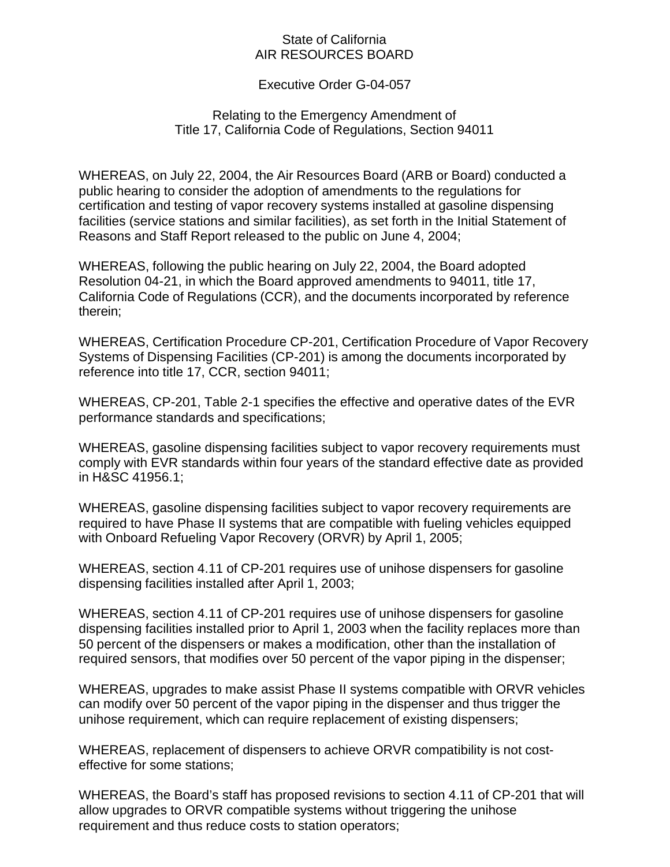## State of California AIR RESOURCES BOARD

## Executive Order G-04-057

## Relating to the Emergency Amendment of Title 17, California Code of Regulations, Section 94011

WHEREAS, on July 22, 2004, the Air Resources Board (ARB or Board) conducted a public hearing to consider the adoption of amendments to the regulations for certification and testing of vapor recovery systems installed at gasoline dispensing facilities (service stations and similar facilities), as set forth in the Initial Statement of Reasons and Staff Report released to the public on June 4, 2004;

WHEREAS, following the public hearing on July 22, 2004, the Board adopted Resolution 04-21, in which the Board approved amendments to 94011, title 17, California Code of Regulations (CCR), and the documents incorporated by reference therein;

WHEREAS, Certification Procedure CP-201, Certification Procedure of Vapor Recovery Systems of Dispensing Facilities (CP-201) is among the documents incorporated by reference into title 17, CCR, section 94011;

WHEREAS, CP-201, Table 2-1 specifies the effective and operative dates of the EVR performance standards and specifications;

WHEREAS, gasoline dispensing facilities subject to vapor recovery requirements must comply with EVR standards within four years of the standard effective date as provided in H&SC 41956.1;

WHEREAS, gasoline dispensing facilities subject to vapor recovery requirements are required to have Phase II systems that are compatible with fueling vehicles equipped with Onboard Refueling Vapor Recovery (ORVR) by April 1, 2005;

WHEREAS, section 4.11 of CP-201 requires use of unihose dispensers for gasoline dispensing facilities installed after April 1, 2003;

WHEREAS, section 4.11 of CP-201 requires use of unihose dispensers for gasoline dispensing facilities installed prior to April 1, 2003 when the facility replaces more than 50 percent of the dispensers or makes a modification, other than the installation of required sensors, that modifies over 50 percent of the vapor piping in the dispenser;

WHEREAS, upgrades to make assist Phase II systems compatible with ORVR vehicles can modify over 50 percent of the vapor piping in the dispenser and thus trigger the unihose requirement, which can require replacement of existing dispensers;

WHEREAS, replacement of dispensers to achieve ORVR compatibility is not costeffective for some stations;

WHEREAS, the Board's staff has proposed revisions to section 4.11 of CP-201 that will allow upgrades to ORVR compatible systems without triggering the unihose requirement and thus reduce costs to station operators;